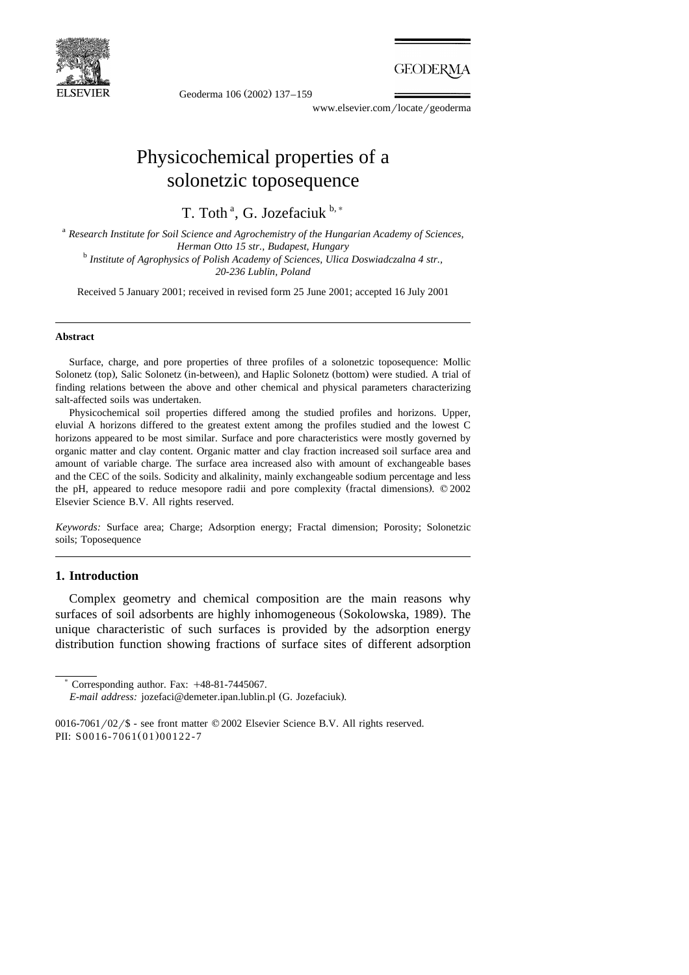

Geoderma 106 (2002) 137-159

**GEODERMA** 

www.elsevier.com/locate/geoderma

# Physicochemical properties of a solonetzic toposequence

T. Toth<sup>a</sup>, G. Jozefaciuk<sup>b,\*</sup>

<sup>a</sup> *Research Institute for Soil Science and Agrochemistry of the Hungarian Academy of Sciences, Herman Otto 15 str., Budapest, Hungary* <sup>b</sup> *Institute of Agrophysics of Polish Academy of Sciences, Ulica Doswiadczalna 4 str., 20-236 Lublin, Poland*

Received 5 January 2001; received in revised form 25 June 2001; accepted 16 July 2001

#### **Abstract**

Surface, charge, and pore properties of three profiles of a solonetzic toposequence: Mollic Solonetz (top), Salic Solonetz (in-between), and Haplic Solonetz (bottom) were studied. A trial of finding relations between the above and other chemical and physical parameters characterizing salt-affected soils was undertaken.

Physicochemical soil properties differed among the studied profiles and horizons. Upper, eluvial A horizons differed to the greatest extent among the profiles studied and the lowest C horizons appeared to be most similar. Surface and pore characteristics were mostly governed by organic matter and clay content. Organic matter and clay fraction increased soil surface area and amount of variable charge. The surface area increased also with amount of exchangeable bases and the CEC of the soils. Sodicity and alkalinity, mainly exchangeable sodium percentage and less the pH, appeared to reduce mesopore radii and pore complexity (fractal dimensions).  $\odot$  2002 Elsevier Science B.V. All rights reserved.

*Keywords:* Surface area; Charge; Adsorption energy; Fractal dimension; Porosity; Solonetzic soils; Toposequence

# **1. Introduction**

Complex geometry and chemical composition are the main reasons why surfaces of soil adsorbents are highly inhomogeneous (Sokolowska, 1989). The unique characteristic of such surfaces is provided by the adsorption energy distribution function showing fractions of surface sites of different adsorption

Corresponding author. Fax:  $+48-81-7445067$ .

*E-mail address:* jozefaci@demeter.ipan.lublin.pl (G. Jozefaciuk).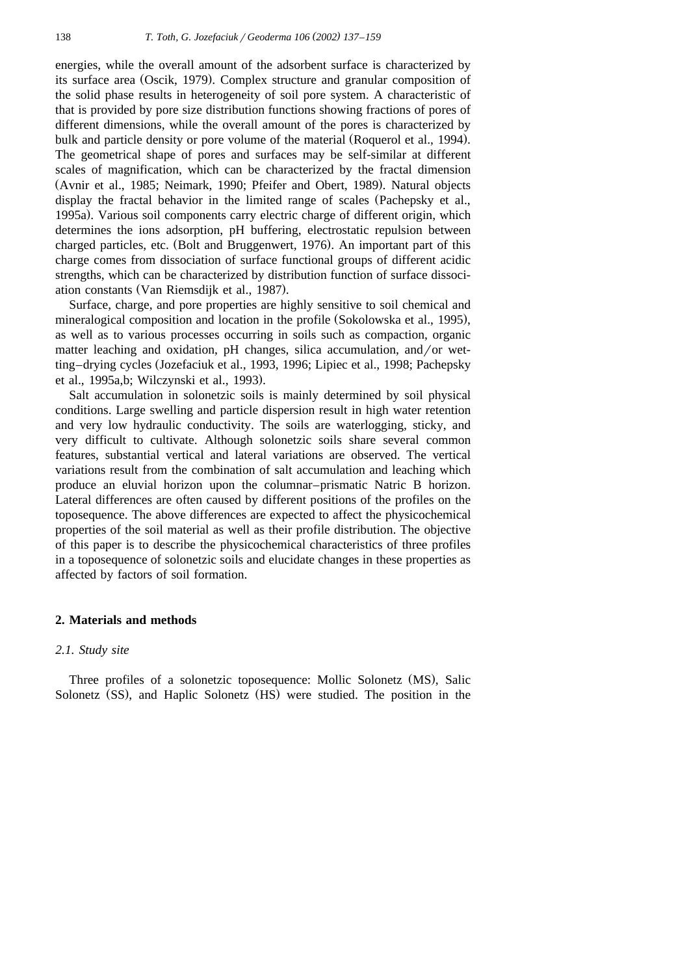energies, while the overall amount of the adsorbent surface is characterized by its surface area (Oscik, 1979). Complex structure and granular composition of the solid phase results in heterogeneity of soil pore system. A characteristic of that is provided by pore size distribution functions showing fractions of pores of different dimensions, while the overall amount of the pores is characterized by bulk and particle density or pore volume of the material (Roquerol et al., 1994). The geometrical shape of pores and surfaces may be self-similar at different scales of magnification, which can be characterized by the fractal dimension (Avnir et al., 1985; Neimark, 1990; Pfeifer and Obert, 1989). Natural objects display the fractal behavior in the limited range of scales (Pachepsky et al., 1995a). Various soil components carry electric charge of different origin, which determines the ions adsorption, pH buffering, electrostatic repulsion between charged particles, etc. (Bolt and Bruggenwert, 1976). An important part of this charge comes from dissociation of surface functional groups of different acidic strengths, which can be characterized by distribution function of surface dissociation constants (Van Riemsdijk et al., 1987).

Surface, charge, and pore properties are highly sensitive to soil chemical and mineralogical composition and location in the profile (Sokolowska et al., 1995), as well as to various processes occurring in soils such as compaction, organic matter leaching and oxidation, pH changes, silica accumulation, and/or wetting–drying cycles (Jozefaciuk et al., 1993, 1996; Lipiec et al., 1998; Pachepsky et al., 1995a,b; Wilczynski et al., 1993).

Salt accumulation in solonetzic soils is mainly determined by soil physical conditions. Large swelling and particle dispersion result in high water retention and very low hydraulic conductivity. The soils are waterlogging, sticky, and very difficult to cultivate. Although solonetzic soils share several common features, substantial vertical and lateral variations are observed. The vertical variations result from the combination of salt accumulation and leaching which produce an eluvial horizon upon the columnar–prismatic Natric B horizon. Lateral differences are often caused by different positions of the profiles on the toposequence. The above differences are expected to affect the physicochemical properties of the soil material as well as their profile distribution. The objective of this paper is to describe the physicochemical characteristics of three profiles in a toposequence of solonetzic soils and elucidate changes in these properties as affected by factors of soil formation.

## **2. Materials and methods**

## *2.1. Study site*

Three profiles of a solonetzic toposequence: Mollic Solonetz (MS), Salic Solonetz (SS), and Haplic Solonetz (HS) were studied. The position in the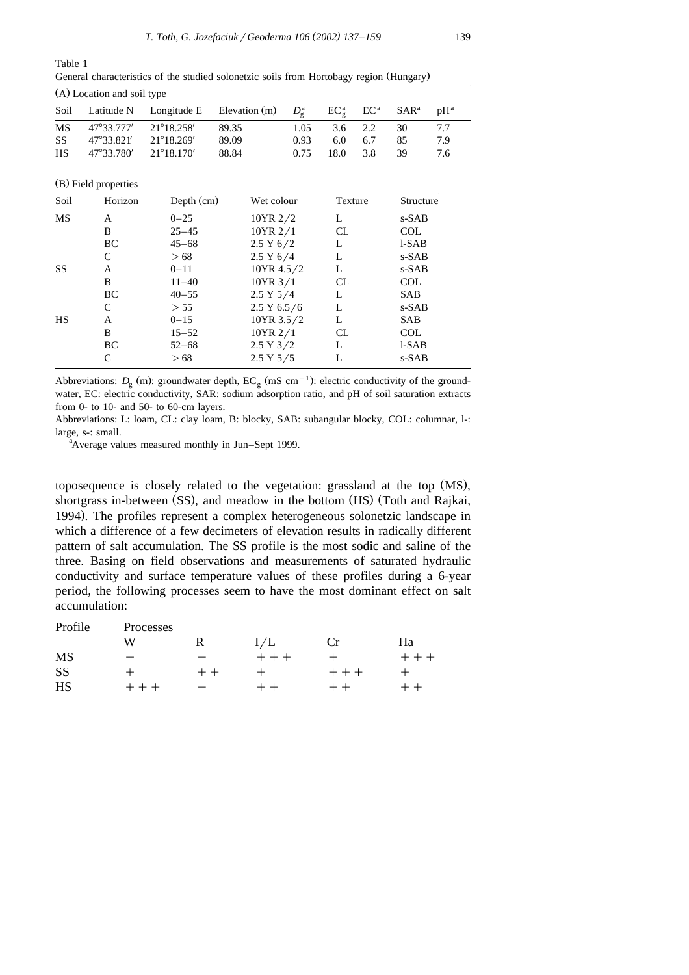| (A) Location and soil type |                       |            |                                                                                                             |      |                 |     |    |                   |
|----------------------------|-----------------------|------------|-------------------------------------------------------------------------------------------------------------|------|-----------------|-----|----|-------------------|
|                            |                       |            | Soil Latitude N Longitude E Elevation (m) $D_{\alpha}^{a}$ EC <sub>a</sub> EC <sub>a</sub> SAR <sup>a</sup> |      |                 |     |    | $\rm{pH}^{\rm a}$ |
| <b>MS</b>                  | 47°33.777′ 21°18.258′ |            | 89.35                                                                                                       | 1.05 | $3.6 \quad 2.2$ |     | 30 | 7.7               |
| SS                         | 47°33.821′            | 21°18.269' | 89.09                                                                                                       | 0.93 | 6.0             | 6.7 | 85 | 7.9               |
| <b>HS</b>                  | 47°33.780′ 21°18.170′ |            | 88.84                                                                                                       | 0.75 | 18.0            | 3.8 | 39 | 7.6               |

Table 1 General characteristics of the studied solonetzic soils from Hortobagy region (Hungary)

(B) Field properties

| Soil      | Horizon | Depth $(cm)$ | Wet colour        | Texture | Structure  |
|-----------|---------|--------------|-------------------|---------|------------|
| MS        | A       | $0 - 25$     | 10YR 2/2          |         | s-SAB      |
|           | B       | $25 - 45$    | 10YR 2/1          | CL      | <b>COL</b> |
|           | BC.     | $45 - 68$    | 2.5 Y 6/2         | L       | $1-SAB$    |
|           | C       | > 68         | 2.5 Y 6/4         | L       | s-SAB      |
| SS.       | A       | $0 - 11$     | 10YR 4.5/2        | L       | s-SAB      |
|           | B       | $11 - 40$    | 10YR 3/1          | CL      | <b>COL</b> |
|           | BC.     | $40 - 55$    | 2.5 Y 5/4         | L       | <b>SAB</b> |
|           | C       | > 55         | 2.5 Y 6.5/6       | L       | s-SAB      |
| <b>HS</b> | A       | $0 - 15$     | 10YR 3.5/2        | L       | <b>SAB</b> |
|           | B       | $15 - 52$    | $10YR\frac{2}{1}$ | CL.     | <b>COL</b> |
|           | BC.     | $52 - 68$    | 2.5 Y 3/2         | L       | 1-SAB      |
|           | C       | > 68         | 2.5 Y 5/5         | L       | s-SAB      |

Abbreviations:  $D_{\varphi}$  (m): groundwater depth, EC<sub>p</sub> (mS cm<sup>-1</sup>): electric conductivity of the groundwater, EC: electric conductivity, SAR: sodium adsorption ratio, and pH of soil saturation extracts from 0- to 10- and 50- to 60-cm layers.

Abbreviations: L: loam, CL: clay loam, B: blocky, SAB: subangular blocky, COL: columnar, l-: large, s-: small.

Average values measured monthly in Jun–Sept 1999.

toposequence is closely related to the vegetation: grassland at the top  $(MS)$ , shortgrass in-between (SS), and meadow in the bottom (HS) (Toth and Rajkai, 1994). The profiles represent a complex heterogeneous solonetzic landscape in which a difference of a few decimeters of elevation results in radically different pattern of salt accumulation. The SS profile is the most sodic and saline of the three. Basing on field observations and measurements of saturated hydraulic conductivity and surface temperature values of these profiles during a 6-year period, the following processes seem to have the most dominant effect on salt accumulation:

| Profile   | Processes |       |          |          |          |
|-----------|-----------|-------|----------|----------|----------|
|           | W         | R     | I/L      | Cr       | Ha       |
| <b>MS</b> | _         |       | $++$ $+$ |          | $++$ $+$ |
| SS        |           | $+ +$ |          | $++$ $+$ |          |
| HS        | $+++$     |       |          |          |          |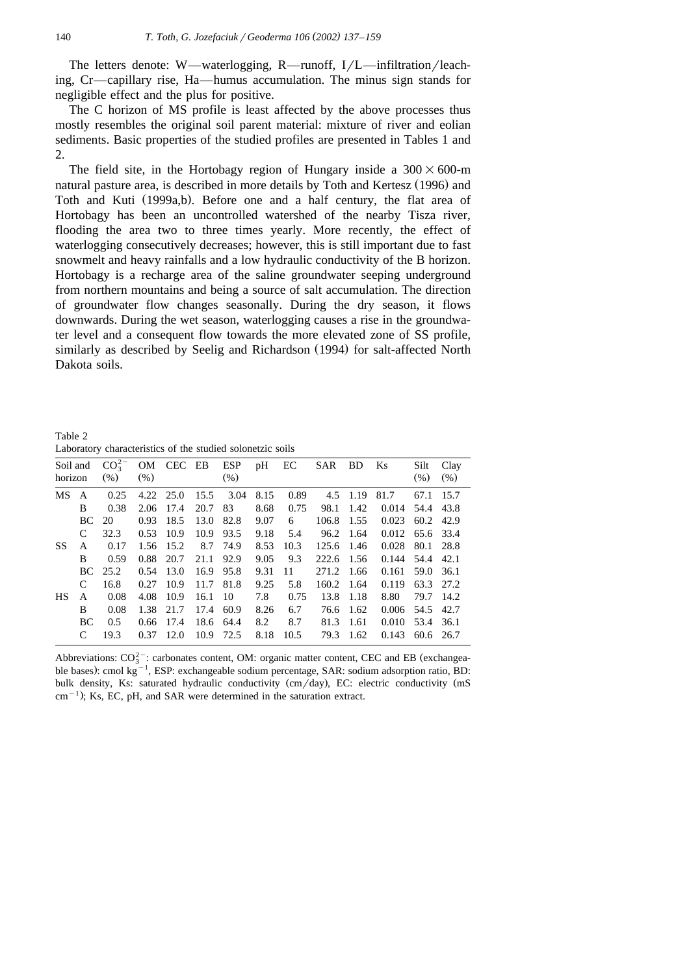The letters denote: W—waterlogging, R—runoff,  $I/L$ —infiltration/leaching, Cr—capillary rise, Ha—humus accumulation. The minus sign stands for negligible effect and the plus for positive.

The C horizon of MS profile is least affected by the above processes thus mostly resembles the original soil parent material: mixture of river and eolian sediments. Basic properties of the studied profiles are presented in Tables 1 and 2.

The field site, in the Hortobagy region of Hungary inside a  $300 \times 600$ -m natural pasture area, is described in more details by Toth and Kertesz (1996) and Toth and Kuti (1999a,b). Before one and a half century, the flat area of Hortobagy has been an uncontrolled watershed of the nearby Tisza river, flooding the area two to three times yearly. More recently, the effect of waterlogging consecutively decreases; however, this is still important due to fast snowmelt and heavy rainfalls and a low hydraulic conductivity of the B horizon. Hortobagy is a recharge area of the saline groundwater seeping underground from northern mountains and being a source of salt accumulation. The direction of groundwater flow changes seasonally. During the dry season, it flows downwards. During the wet season, waterlogging causes a rise in the groundwater level and a consequent flow towards the more elevated zone of SS profile, similarly as described by Seelig and Richardson (1994) for salt-affected North Dakota soils.

| Soil and  |              | $CO_3^{2-}$ OM CEC EB ESP |      |           |      |           | pH   | EC   | SAR BD Ks  |           |                   | Silt      | Clay      |
|-----------|--------------|---------------------------|------|-----------|------|-----------|------|------|------------|-----------|-------------------|-----------|-----------|
| horizon   |              | (% )                      | (% ) |           |      | $(\% )$   |      |      |            |           |                   | (% )      | $(\% )$   |
| <b>MS</b> | A            | 0.25                      |      | 4.22 25.0 | 15.5 | 3.04      | 8.15 | 0.89 |            | 4.5 1.19  | 81.7              |           | 67.1 15.7 |
|           | B            | 0.38                      | 2.06 | 17.4      | 20.7 | 83        | 8.68 | 0.75 | 98.1       | 1.42      | $0.014$ 54.4      |           | 43.8      |
|           | BC.          | 20                        | 0.93 | 18.5      | 13.0 | 82.8      | 9.07 | 6    | 106.8      | 1.55      | 0.023             | 60.2 42.9 |           |
|           | C            | 32.3                      | 0.53 | 10.9      | 10.9 | 93.5      | 9.18 | 5.4  |            | 96.2 1.64 | 0.012 65.6 33.4   |           |           |
| <b>SS</b> | A            | 0.17                      |      | 1.56 15.2 | 8.7  | 74.9      | 8.53 | 10.3 | 125.6 1.46 |           | 0.028 80.1 28.8   |           |           |
|           | B            | 0.59                      | 0.88 | 20.7      | 21.1 | 92.9      | 9.05 | 9.3  | 222.6 1.56 |           | $0.144$ 54.4 42.1 |           |           |
|           |              | $BC$ 25.2                 | 0.54 | 13.0      |      | 16.9 95.8 | 9.31 | -11  | 271.2 1.66 |           | $0.161$ 59.0 36.1 |           |           |
|           | C            | 16.8                      | 0.27 | 10.9      |      | 11.7 81.8 | 9.25 | 5.8  | 160.2 1.64 |           | 0.119             | 63.3 27.2 |           |
| <b>HS</b> | A            | 0.08                      | 4.08 | 10.9      | 16.1 | -10       | 7.8  | 0.75 | 13.8 1.18  |           | 8.80              | 79.7 14.2 |           |
|           | B            | 0.08                      | 1.38 | 21.7      | 17.4 | 60.9      | 8.26 | 6.7  | 76.6       | 1.62      | 0.006 54.5 42.7   |           |           |
|           | BC           | 0.5                       | 0.66 | 17.4      |      | 18.6 64.4 | 8.2  | 8.7  | 81.3       | 1.61      | $0.010$ 53.4 36.1 |           |           |
|           | $\mathsf{C}$ | 19.3                      | 0.37 | 12.0      |      | 10.9 72.5 | 8.18 | 10.5 |            | 79.3 1.62 | 0.143             | 60.6 26.7 |           |

Table 2 Laboratory characteristics of the studied solonetzic soils

Abbreviations:  $CO_3^{2-}$ : carbonates content, OM: organic matter content, CEC and EB (exchangeable bases): cmol kg<sup>-1</sup>, ESP: exchangeable sodium percentage, SAR: sodium adsorption ratio, BD: bulk density, Ks: saturated hydraulic conductivity (cm/day), EC: electric conductivity (mS cm<sup>-1</sup>); Ks, EC, pH, and SAR were determined in the saturation extract.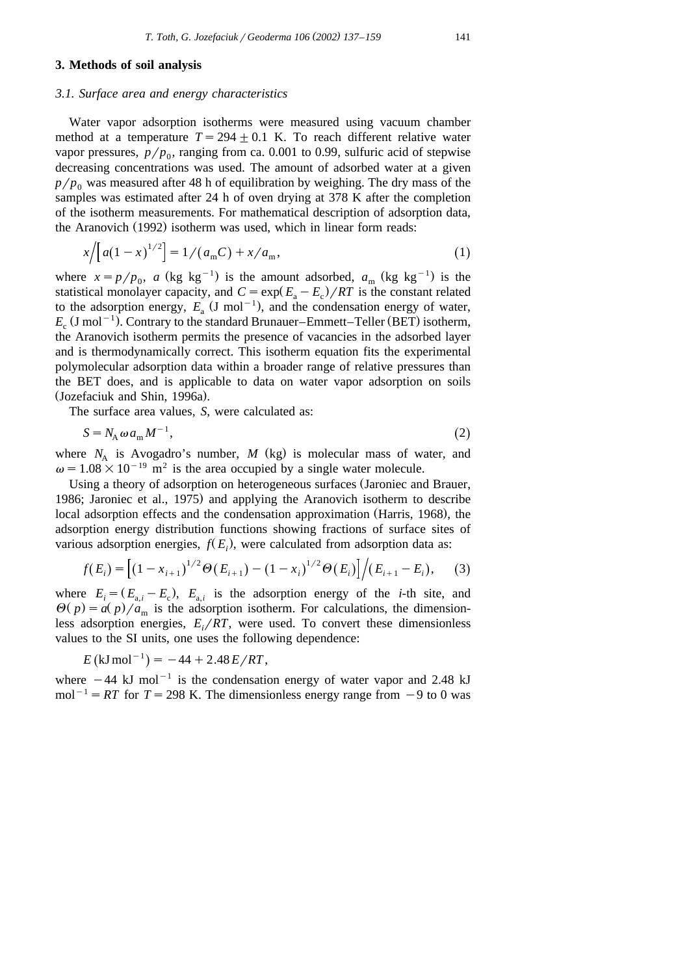## **3. Methods of soil analysis**

## *3.1. Surface area and energy characteristics*

Water vapor adsorption isotherms were measured using vacuum chamber method at a temperature  $T = 294 \pm 0.1$  K. To reach different relative water vapor pressures,  $p/p_0$ , ranging from ca. 0.001 to 0.99, sulfuric acid of stepwise decreasing concentrations was used. The amount of adsorbed water at a given  $p/p_0$  was measured after 48 h of equilibration by weighing. The dry mass of the samples was estimated after 24 h of oven drying at 378 K after the completion of the isotherm measurements. For mathematical description of adsorption data, the Aranovich (1992) isotherm was used, which in linear form reads:

$$
x / \left[ a(1 - x)^{1/2} \right] = 1 / (a_{\rm m}C) + x / a_{\rm m}, \tag{1}
$$

where  $x = p/p_0$ , *a* (kg kg<sup>-1</sup>) is the amount adsorbed,  $a_m$  (kg kg<sup>-1</sup>) is the statistical monolayer capacity, and  $C = \exp(E_a - E_c)/RT$  is the constant related to the adsorption energy,  $E_a$  (J mol<sup>-1</sup>), and the condensation energy of water,  $E_c$  (J mol<sup>-1</sup>). Contrary to the standard Brunauer–Emmett–Teller (BET) isotherm, the Aranovich isotherm permits the presence of vacancies in the adsorbed layer and is thermodynamically correct. This isotherm equation fits the experimental polymolecular adsorption data within a broader range of relative pressures than the BET does, and is applicable to data on water vapor adsorption on soils (Jozefaciuk and Shin, 1996a).

The surface area values, *S*, were calculated as:

$$
S = N_A \omega a_m M^{-1},\tag{2}
$$

where  $N_A$  is Avogadro's number,  $M$  (kg) is molecular mass of water, and  $\omega = 1.08 \times 10^{-19}$  m<sup>2</sup> is the area occupied by a single water molecule.

Using a theory of adsorption on heterogeneous surfaces (Jaroniec and Brauer, 1986; Jaroniec et al., 1975) and applying the Aranovich isotherm to describe local adsorption effects and the condensation approximation (Harris, 1968), the adsorption energy distribution functions showing fractions of surface sites of various adsorption energies,  $f(E_i)$ , were calculated from adsorption data as:

$$
f(E_i) = \left[ \left(1 - x_{i+1}\right)^{1/2} \Theta\left(E_{i+1}\right) - \left(1 - x_i\right)^{1/2} \Theta\left(E_i\right) \right] \Big/ \left(E_{i+1} - E_i\right), \tag{3}
$$

where  $E_i = (E_{a,i} - E_c)$ ,  $E_{a,i}$  is the adsorption energy of the *i*-th site, and  $\Theta(p) = a(p)/a_m$  is the adsorption isotherm. For calculations, the dimensionless adsorption energies,  $E_i/RT$ , were used. To convert these dimensionless values to the SI units, one uses the following dependence:

$$
E
$$
 (kJ mol<sup>-1</sup>) = -44 + 2.48  $E/RT$ ,

where  $-44$  kJ mol<sup>-1</sup> is the condensation energy of water vapor and 2.48 kJ  $mol^{-1} = RT$  for  $T = 298$  K. The dimensionless energy range from  $-9$  to 0 was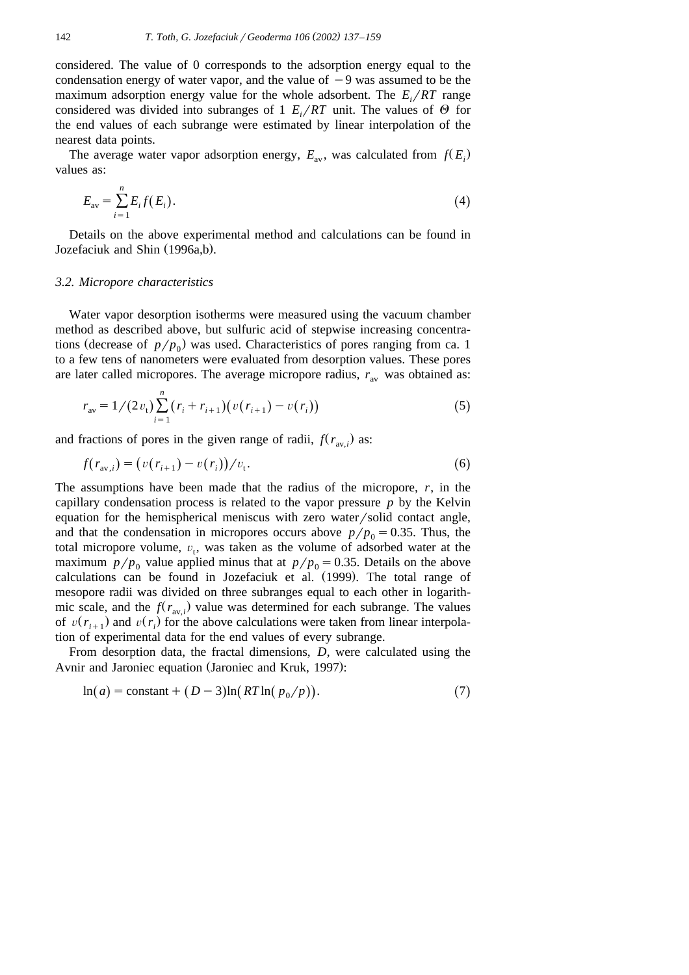considered. The value of 0 corresponds to the adsorption energy equal to the condensation energy of water vapor, and the value of  $-9$  was assumed to be the maximum adsorption energy value for the whole adsorbent. The  $E / RT$  range considered was divided into subranges of 1  $E_i/RT$  unit. The values of  $\Theta$  for the end values of each subrange were estimated by linear interpolation of the nearest data points.

The average water vapor adsorption energy,  $E_{av}$ , was calculated from  $f(E_i)$ values as:

$$
E_{\rm av} = \sum_{i=1}^{n} E_i f(E_i). \tag{4}
$$

Details on the above experimental method and calculations can be found in Jozefaciuk and Shin (1996a,b).

#### *3.2. Micropore characteristics*

Water vapor desorption isotherms were measured using the vacuum chamber method as described above, but sulfuric acid of stepwise increasing concentrations (decrease of  $p/p_0$ ) was used. Characteristics of pores ranging from ca. 1 to a few tens of nanometers were evaluated from desorption values. These pores are later called micropores. The average micropore radius,  $r_{av}$  was obtained as:

$$
r_{\rm av} = 1/(2 v_{\rm t}) \sum_{i=1}^{n} (r_i + r_{i+1}) (v(r_{i+1}) - v(r_i))
$$
\n(5)

and fractions of pores in the given range of radii,  $f(r_{av,i})$  as:

$$
f(r_{\text{av},i}) = (v(r_{i+1}) - v(r_i))/v_t.
$$
 (6)

The assumptions have been made that the radius of the micropore, *r*, in the capillary condensation process is related to the vapor pressure *p* by the Kelvin equation for the hemispherical meniscus with zero water/solid contact angle, and that the condensation in micropores occurs above  $p/p_0 = 0.35$ . Thus, the total micropore volume,  $v_t$ , was taken as the volume of adsorbed water at the maximum  $p/p_0$  value applied minus that at  $p/p_0 = 0.35$ . Details on the above calculations can be found in Jozefaciuk et al. (1999). The total range of mesopore radii was divided on three subranges equal to each other in logarithmic scale, and the  $f(r_{av,i})$  value was determined for each subrange. The values of  $v(r_{i+1})$  and  $v(r_i)$  for the above calculations were taken from linear interpolation of experimental data for the end values of every subrange.

From desorption data, the fractal dimensions, *D*, were calculated using the Avnir and Jaroniec equation (Jaroniec and Kruk, 1997):

$$
\ln(a) = \text{constant} + (D-3)\ln(RT\ln(p_0/p)).\tag{7}
$$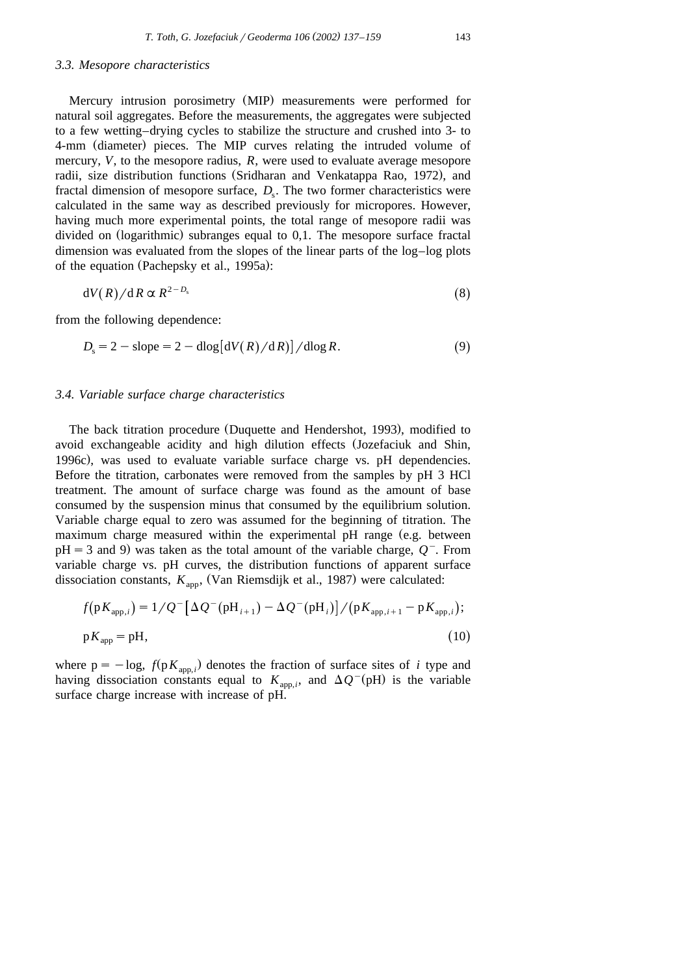## *3.3. Mesopore characteristics*

Mercury intrusion porosimetry (MIP) measurements were performed for natural soil aggregates. Before the measurements, the aggregates were subjected to a few wetting–drying cycles to stabilize the structure and crushed into 3- to 4-mm (diameter) pieces. The MIP curves relating the intruded volume of mercury, *V*, to the mesopore radius, *R*, were used to evaluate average mesopore radii, size distribution functions (Sridharan and Venkatappa Rao, 1972), and fractal dimension of mesopore surface,  $D<sub>o</sub>$ . The two former characteristics were calculated in the same way as described previously for micropores. However, having much more experimental points, the total range of mesopore radii was divided on (logarithmic) subranges equal to  $0,1$ . The mesopore surface fractal dimension was evaluated from the slopes of the linear parts of the log–log plots of the equation (Pachepsky et al., 1995a):

$$
dV(R)/dR \propto R^{2-D_s} \tag{8}
$$

from the following dependence:

$$
D_{\rm s} = 2 - \text{slope} = 2 - \text{dlog}[dV(R)/dR]]/\text{dlog}R. \tag{9}
$$

## *3.4. Variable surface charge characteristics*

The back titration procedure (Duquette and Hendershot, 1993), modified to avoid exchangeable acidity and high dilution effects (Jozefaciuk and Shin, 1996c), was used to evaluate variable surface charge vs. pH dependencies. Before the titration, carbonates were removed from the samples by pH 3 HCl treatment. The amount of surface charge was found as the amount of base consumed by the suspension minus that consumed by the equilibrium solution. Variable charge equal to zero was assumed for the beginning of titration. The maximum charge measured within the experimental pH range (e.g. between  $pH = 3$  and 9) was taken as the total amount of the variable charge,  $Q^-$ . From variable charge vs. pH curves, the distribution functions of apparent surface dissociation constants,  $K_{\text{ann}}$ , (Van Riemsdijk et al., 1987) were calculated:

$$
f(pK_{app,i}) = 1/Q^{-} [\Delta Q^{-}(pH_{i+1}) - \Delta Q^{-}(pH_{i})]/(pK_{app,i+1} - pK_{app,i});
$$
  
\n
$$
pK_{app} = pH,
$$
\n(10)

where  $p = -\log f(pK_{app,i})$  denotes the fraction of surface sites of *i* type and having dissociation constants equal to  $K_{\text{app},i}$ , and  $\Delta Q^-(pH)$  is the variable surface charge increase with increase of pH.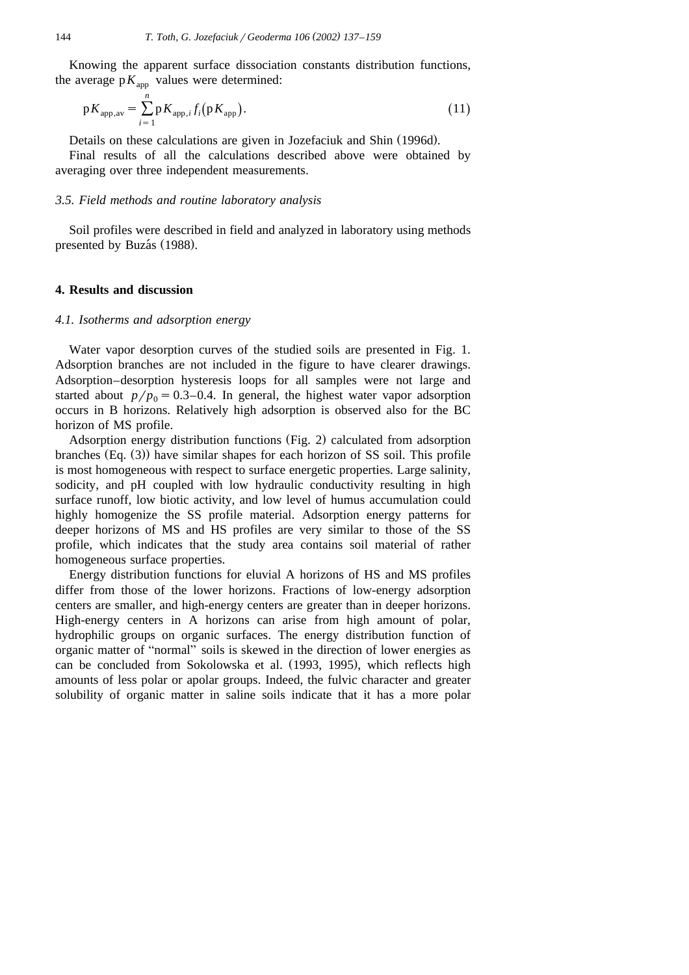Knowing the apparent surface dissociation constants distribution functions, the average  $pK_{\text{app}}$  values were determined:

$$
p K_{\text{app,av}} = \sum_{i=1}^{n} p K_{\text{app},i} f_i (p K_{\text{app}}).
$$
 (11)

Details on these calculations are given in Jozefaciuk and Shin (1996d).

Final results of all the calculations described above were obtained by averaging over three independent measurements.

## *3.5. Field methods and routine laboratory analysis*

Soil profiles were described in field and analyzed in laboratory using methods presented by Buzás (1988).

# **4. Results and discussion**

## *4.1. Isotherms and adsorption energy*

Water vapor desorption curves of the studied soils are presented in Fig. 1. Adsorption branches are not included in the figure to have clearer drawings. Adsorption–desorption hysteresis loops for all samples were not large and started about  $p/p_0 = 0.3-0.4$ . In general, the highest water vapor adsorption occurs in B horizons. Relatively high adsorption is observed also for the BC horizon of MS profile.

Adsorption energy distribution functions (Fig. 2) calculated from adsorption branches  $(Eq. (3))$  have similar shapes for each horizon of SS soil. This profile is most homogeneous with respect to surface energetic properties. Large salinity, sodicity, and pH coupled with low hydraulic conductivity resulting in high surface runoff, low biotic activity, and low level of humus accumulation could highly homogenize the SS profile material. Adsorption energy patterns for deeper horizons of MS and HS profiles are very similar to those of the SS profile, which indicates that the study area contains soil material of rather homogeneous surface properties.

Energy distribution functions for eluvial A horizons of HS and MS profiles differ from those of the lower horizons. Fractions of low-energy adsorption centers are smaller, and high-energy centers are greater than in deeper horizons. High-energy centers in A horizons can arise from high amount of polar, hydrophilic groups on organic surfaces. The energy distribution function of organic matter of "normal" soils is skewed in the direction of lower energies as can be concluded from Sokolowska et al. (1993, 1995), which reflects high amounts of less polar or apolar groups. Indeed, the fulvic character and greater solubility of organic matter in saline soils indicate that it has a more polar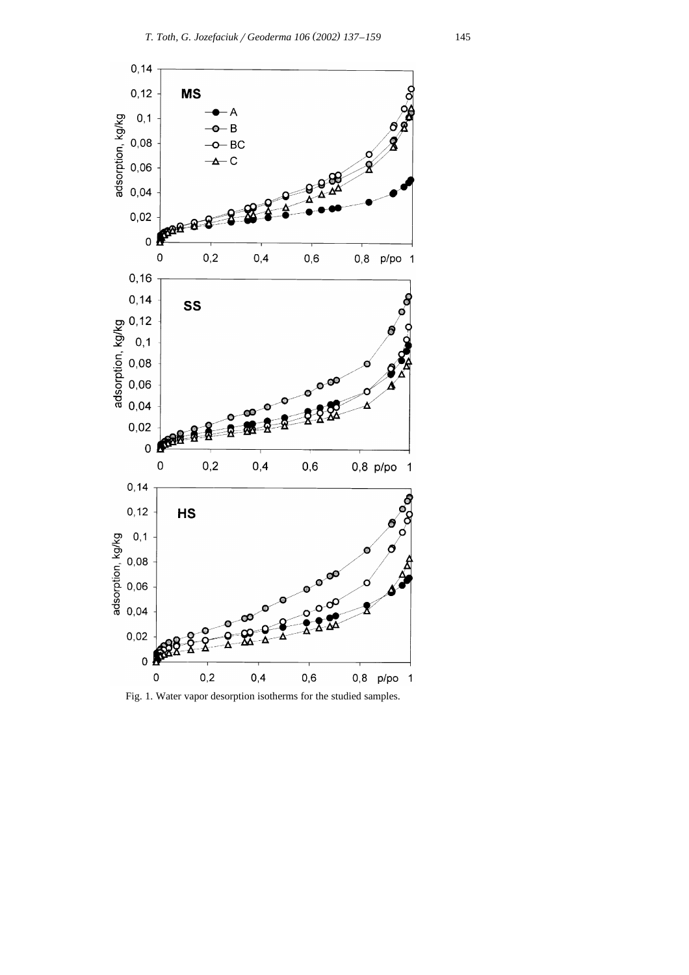

Fig. 1. Water vapor desorption isotherms for the studied samples.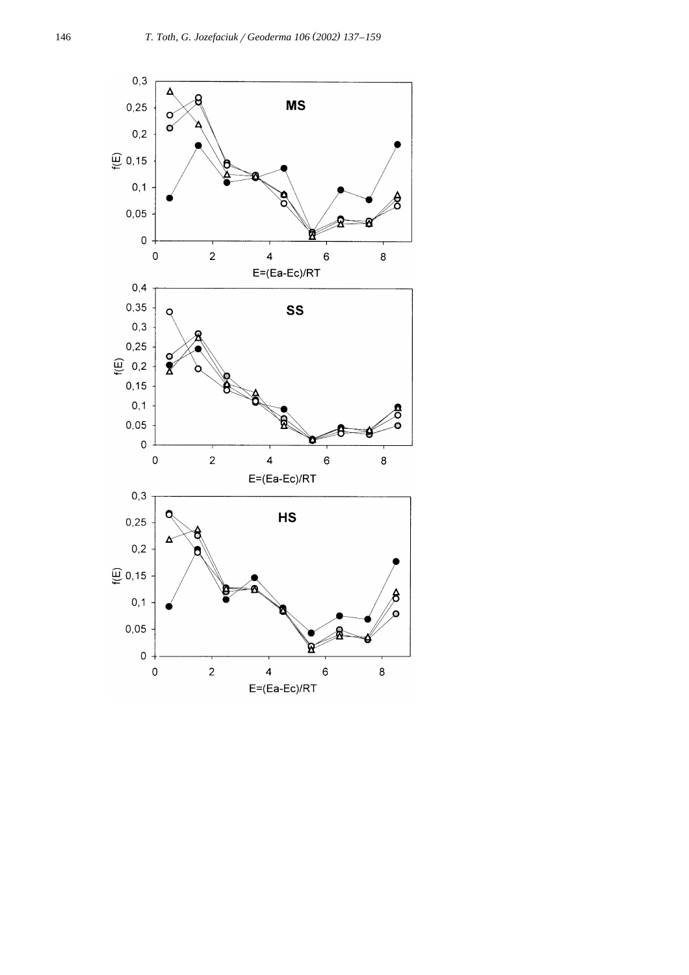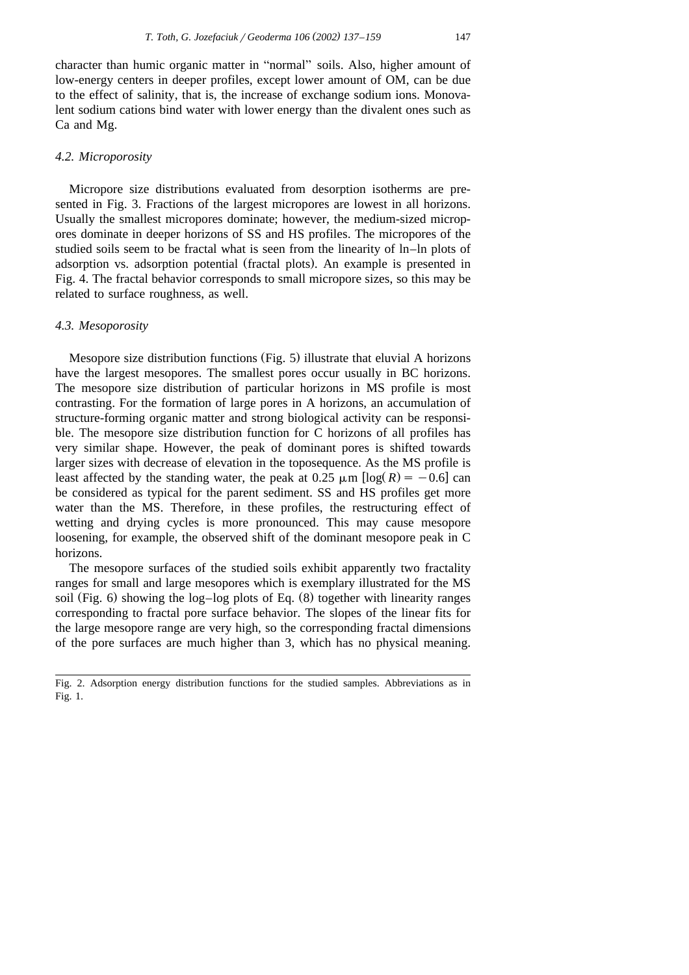character than humic organic matter in "normal" soils. Also, higher amount of low-energy centers in deeper profiles, except lower amount of OM, can be due to the effect of salinity, that is, the increase of exchange sodium ions. Monovalent sodium cations bind water with lower energy than the divalent ones such as Ca and Mg.

## *4.2. Microporosity*

Micropore size distributions evaluated from desorption isotherms are presented in Fig. 3. Fractions of the largest micropores are lowest in all horizons. Usually the smallest micropores dominate; however, the medium-sized micropores dominate in deeper horizons of SS and HS profiles. The micropores of the studied soils seem to be fractal what is seen from the linearity of ln–ln plots of adsorption vs. adsorption potential (fractal plots). An example is presented in Fig. 4. The fractal behavior corresponds to small micropore sizes, so this may be related to surface roughness, as well.

## *4.3. Mesoporosity*

Mesopore size distribution functions (Fig. 5) illustrate that eluvial A horizons have the largest mesopores. The smallest pores occur usually in BC horizons. The mesopore size distribution of particular horizons in MS profile is most contrasting. For the formation of large pores in A horizons, an accumulation of structure-forming organic matter and strong biological activity can be responsible. The mesopore size distribution function for C horizons of all profiles has very similar shape. However, the peak of dominant pores is shifted towards larger sizes with decrease of elevation in the toposequence. As the MS profile is least affected by the standing water, the peak at  $0.25 \mu m \left[ \log(R) = -0.6 \right]$  can be considered as typical for the parent sediment. SS and HS profiles get more water than the MS. Therefore, in these profiles, the restructuring effect of wetting and drying cycles is more pronounced. This may cause mesopore loosening, for example, the observed shift of the dominant mesopore peak in C horizons.

The mesopore surfaces of the studied soils exhibit apparently two fractality ranges for small and large mesopores which is exemplary illustrated for the MS soil (Fig. 6) showing the log–log plots of Eq.  $(8)$  together with linearity ranges corresponding to fractal pore surface behavior. The slopes of the linear fits for the large mesopore range are very high, so the corresponding fractal dimensions of the pore surfaces are much higher than 3, which has no physical meaning.

Fig. 2. Adsorption energy distribution functions for the studied samples. Abbreviations as in Fig. 1.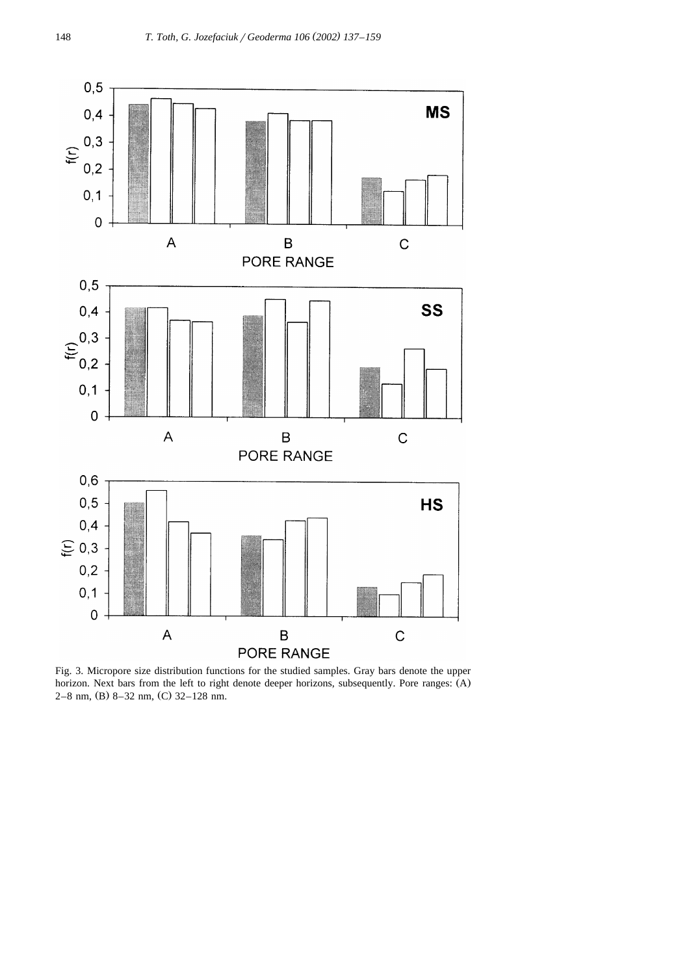

Fig. 3. Micropore size distribution functions for the studied samples. Gray bars denote the upper horizon. Next bars from the left to right denote deeper horizons, subsequently. Pore ranges: (A) 2–8 nm,  $(B)$  8–32 nm,  $(C)$  32–128 nm.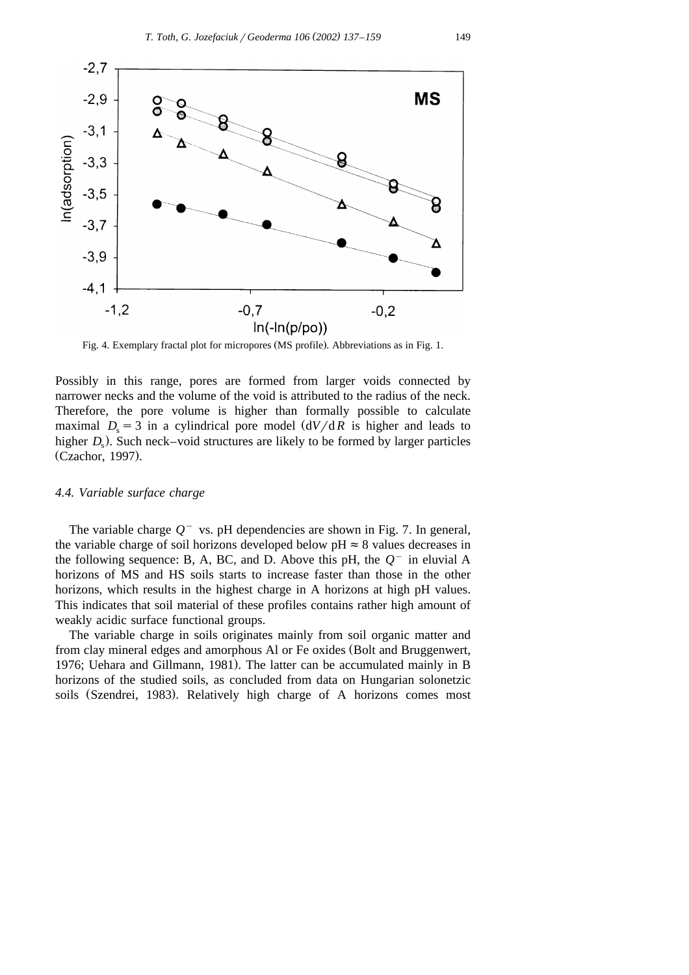

Fig. 4. Exemplary fractal plot for micropores (MS profile). Abbreviations as in Fig. 1.

Possibly in this range, pores are formed from larger voids connected by narrower necks and the volume of the void is attributed to the radius of the neck. Therefore, the pore volume is higher than formally possible to calculate maximal  $D_s = 3$  in a cylindrical pore model  $\left(\frac{dV}{dR}\right)$  is higher and leads to higher  $D<sub>s</sub>$ ). Such neck–void structures are likely to be formed by larger particles (Czachor, 1997).

## *4.4. Variable surface charge*

The variable charge  $Q^-$  vs. pH dependencies are shown in Fig. 7. In general, the variable charge of soil horizons developed below  $pH \approx 8$  values decreases in the following sequence: B, A, BC, and D. Above this pH, the  $Q^-$  in eluvial A horizons of MS and HS soils starts to increase faster than those in the other horizons, which results in the highest charge in A horizons at high pH values. This indicates that soil material of these profiles contains rather high amount of weakly acidic surface functional groups.

The variable charge in soils originates mainly from soil organic matter and from clay mineral edges and amorphous Al or Fe oxides (Bolt and Bruggenwert, 1976; Uehara and Gillmann, 1981). The latter can be accumulated mainly in B horizons of the studied soils, as concluded from data on Hungarian solonetzic soils (Szendrei, 1983). Relatively high charge of A horizons comes most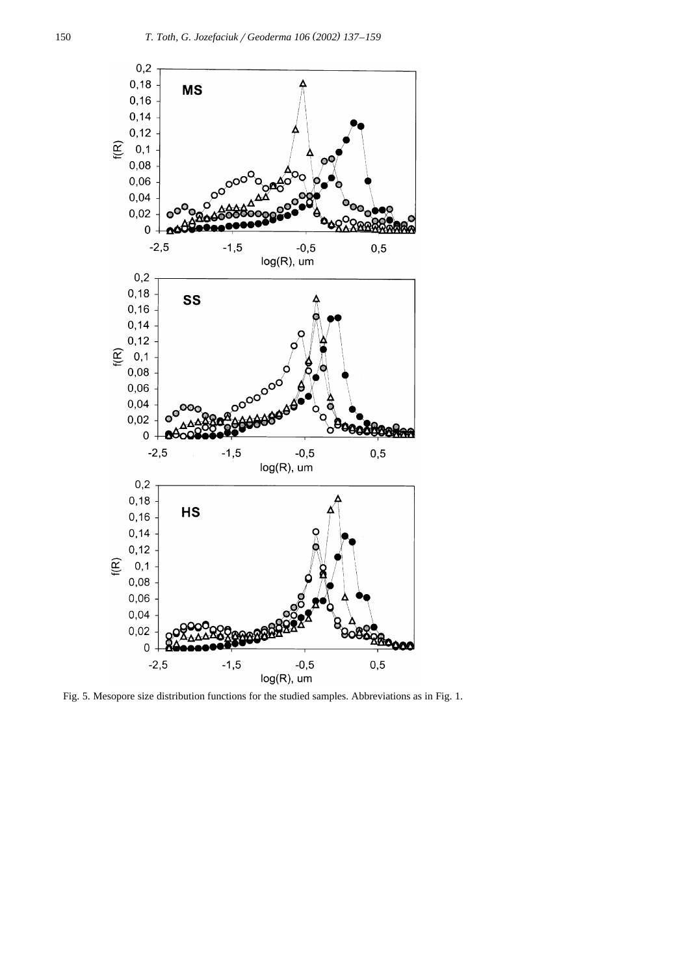

Fig. 5. Mesopore size distribution functions for the studied samples. Abbreviations as in Fig. 1.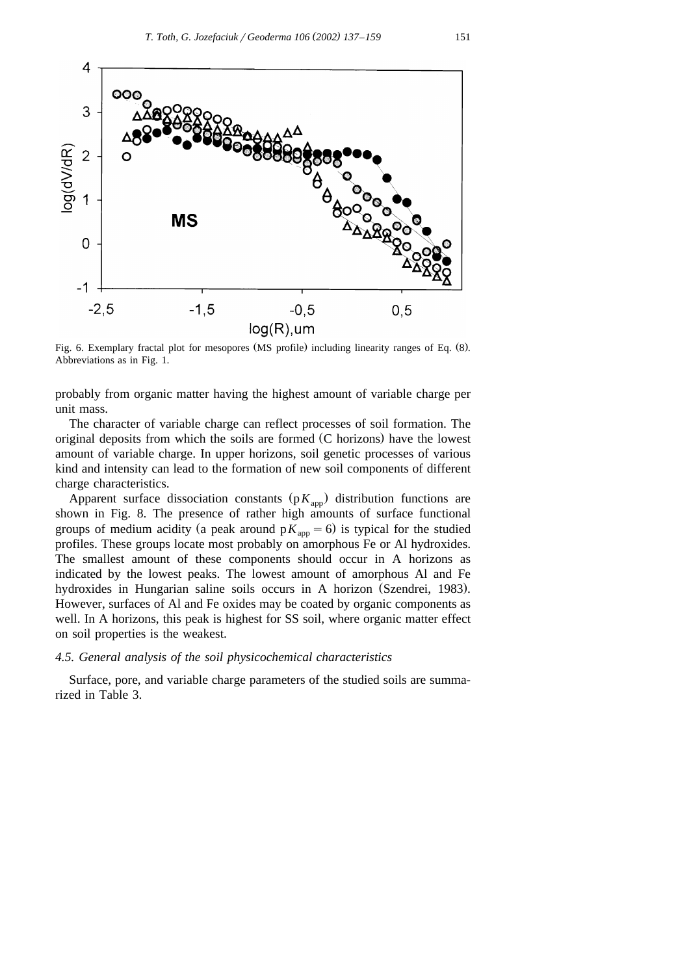

Fig. 6. Exemplary fractal plot for mesopores (MS profile) including linearity ranges of Eq. (8). Abbreviations as in Fig. 1.

probably from organic matter having the highest amount of variable charge per unit mass.

The character of variable charge can reflect processes of soil formation. The original deposits from which the soils are formed  $(C$  horizons) have the lowest amount of variable charge. In upper horizons, soil genetic processes of various kind and intensity can lead to the formation of new soil components of different charge characteristics.

Apparent surface dissociation constants  $(pK_{app})$  distribution functions are shown in Fig. 8. The presence of rather high amounts of surface functional groups of medium acidity (a peak around  $p K_{app} = 6$ ) is typical for the studied profiles. These groups locate most probably on amorphous Fe or Al hydroxides. The smallest amount of these components should occur in A horizons as indicated by the lowest peaks. The lowest amount of amorphous Al and Fe hydroxides in Hungarian saline soils occurs in A horizon (Szendrei, 1983). However, surfaces of Al and Fe oxides may be coated by organic components as well. In A horizons, this peak is highest for SS soil, where organic matter effect on soil properties is the weakest.

## *4.5. General analysis of the soil physicochemical characteristics*

Surface, pore, and variable charge parameters of the studied soils are summarized in Table 3.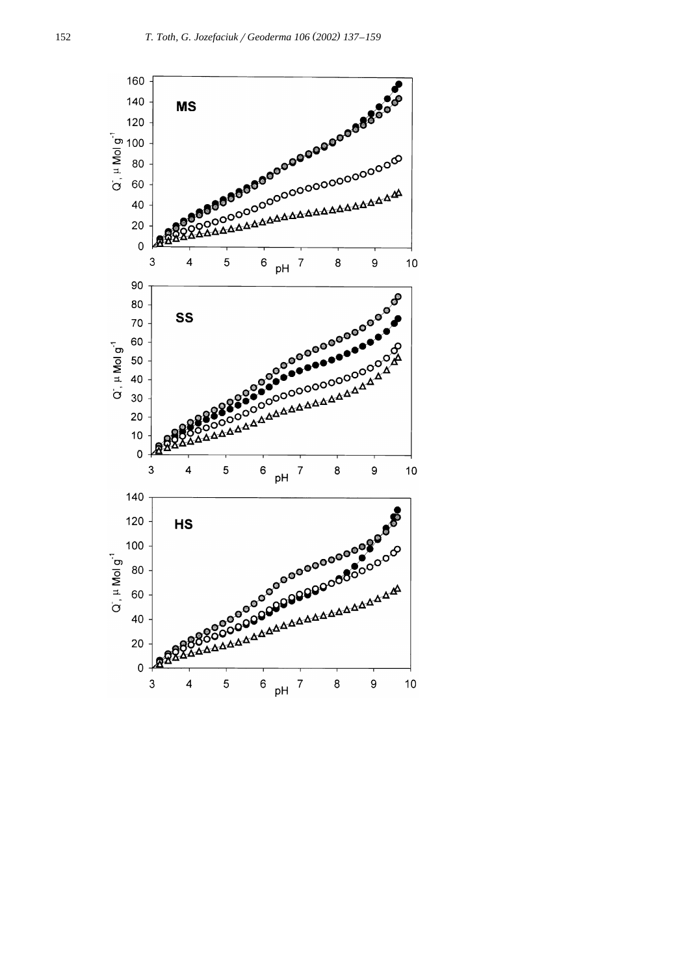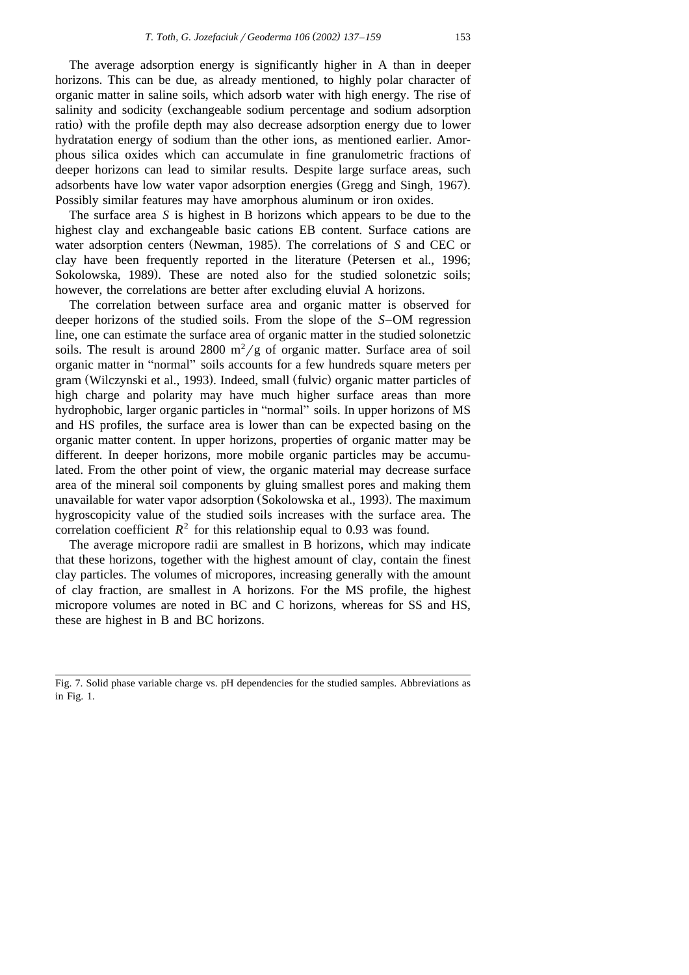The average adsorption energy is significantly higher in A than in deeper horizons. This can be due, as already mentioned, to highly polar character of organic matter in saline soils, which adsorb water with high energy. The rise of salinity and sodicity (exchangeable sodium percentage and sodium adsorption ratio) with the profile depth may also decrease adsorption energy due to lower hydratation energy of sodium than the other ions, as mentioned earlier. Amorphous silica oxides which can accumulate in fine granulometric fractions of deeper horizons can lead to similar results. Despite large surface areas, such adsorbents have low water vapor adsorption energies (Gregg and Singh, 1967). Possibly similar features may have amorphous aluminum or iron oxides.

The surface area *S* is highest in B horizons which appears to be due to the highest clay and exchangeable basic cations EB content. Surface cations are water adsorption centers (Newman, 1985). The correlations of S and CEC or clay have been frequently reported in the literature (Petersen et al., 1996; Sokolowska, 1989). These are noted also for the studied solonetzic soils; however, the correlations are better after excluding eluvial A horizons.

The correlation between surface area and organic matter is observed for deeper horizons of the studied soils. From the slope of the *S*–OM regression line, one can estimate the surface area of organic matter in the studied solonetzic soils. The result is around 2800  $m^2/g$  of organic matter. Surface area of soil organic matter in "normal" soils accounts for a few hundreds square meters per gram (Wilczynski et al., 1993). Indeed, small (fulvic) organic matter particles of high charge and polarity may have much higher surface areas than more hydrophobic, larger organic particles in "normal" soils. In upper horizons of MS and HS profiles, the surface area is lower than can be expected basing on the organic matter content. In upper horizons, properties of organic matter may be different. In deeper horizons, more mobile organic particles may be accumulated. From the other point of view, the organic material may decrease surface area of the mineral soil components by gluing smallest pores and making them unavailable for water vapor adsorption (Sokolowska et al., 1993). The maximum hygroscopicity value of the studied soils increases with the surface area. The correlation coefficient  $R^2$  for this relationship equal to 0.93 was found.

The average micropore radii are smallest in B horizons, which may indicate that these horizons, together with the highest amount of clay, contain the finest clay particles. The volumes of micropores, increasing generally with the amount of clay fraction, are smallest in A horizons. For the MS profile, the highest micropore volumes are noted in BC and C horizons, whereas for SS and HS, these are highest in B and BC horizons.

Fig. 7. Solid phase variable charge vs. pH dependencies for the studied samples. Abbreviations as in Fig. 1.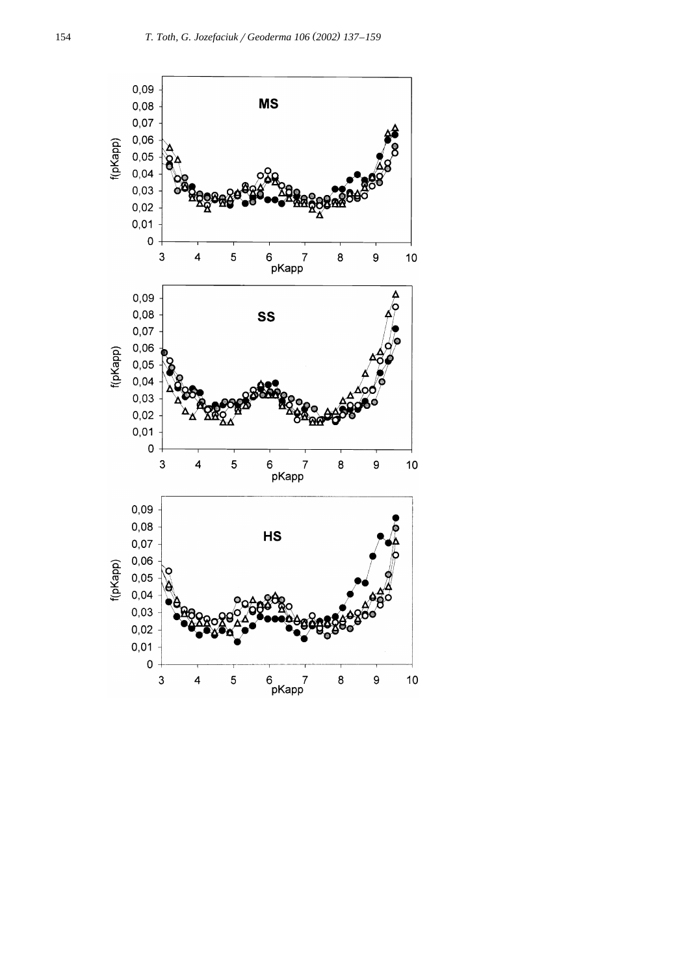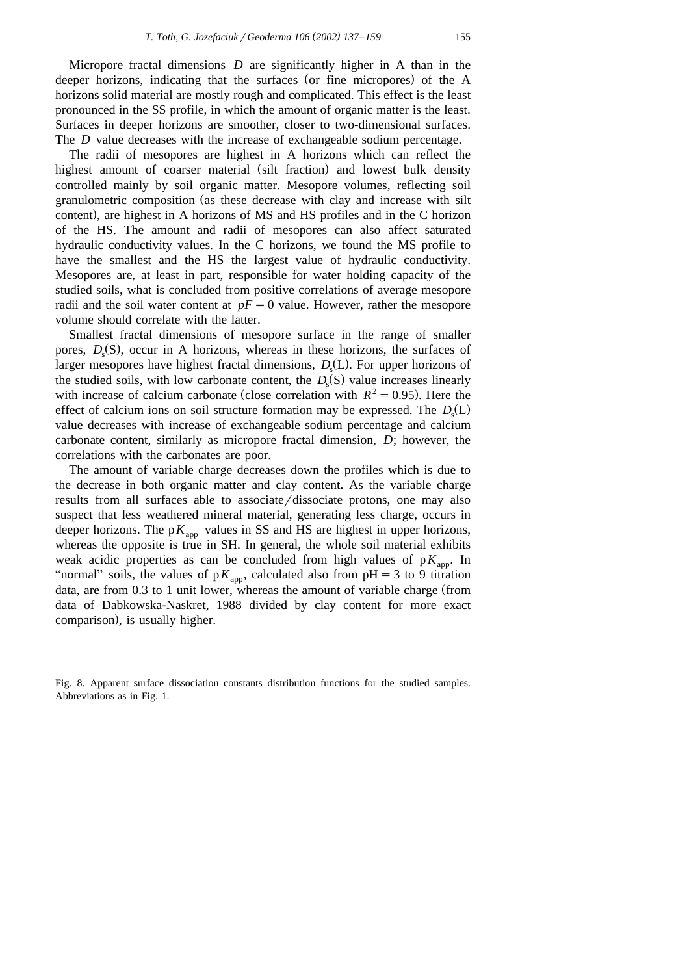Micropore fractal dimensions *D* are significantly higher in A than in the deeper horizons, indicating that the surfaces (or fine micropores) of the A horizons solid material are mostly rough and complicated. This effect is the least pronounced in the SS profile, in which the amount of organic matter is the least. Surfaces in deeper horizons are smoother, closer to two-dimensional surfaces. The *D* value decreases with the increase of exchangeable sodium percentage.

The radii of mesopores are highest in A horizons which can reflect the highest amount of coarser material (silt fraction) and lowest bulk density controlled mainly by soil organic matter. Mesopore volumes, reflecting soil granulometric composition (as these decrease with clay and increase with silt content), are highest in A horizons of MS and HS profiles and in the C horizon of the HS. The amount and radii of mesopores can also affect saturated hydraulic conductivity values. In the C horizons, we found the MS profile to have the smallest and the HS the largest value of hydraulic conductivity. Mesopores are, at least in part, responsible for water holding capacity of the studied soils, what is concluded from positive correlations of average mesopore radii and the soil water content at  $pF = 0$  value. However, rather the mesopore volume should correlate with the latter.

Smallest fractal dimensions of mesopore surface in the range of smaller pores,  $D<sub>s</sub>(S)$ , occur in A horizons, whereas in these horizons, the surfaces of larger mesopores have highest fractal dimensions,  $D<sub>s</sub>(L)$ . For upper horizons of the studied soils, with low carbonate content, the  $D<sub>s</sub>(S)$  value increases linearly with increase of calcium carbonate (close correlation with  $R^2 = 0.95$ ). Here the effect of calcium ions on soil structure formation may be expressed. The  $D_{s}(L)$ value decreases with increase of exchangeable sodium percentage and calcium carbonate content, similarly as micropore fractal dimension, *D*; however, the correlations with the carbonates are poor.

The amount of variable charge decreases down the profiles which is due to the decrease in both organic matter and clay content. As the variable charge results from all surfaces able to associate/dissociate protons, one may also suspect that less weathered mineral material, generating less charge, occurs in deeper horizons. The  $pK_{\text{ann}}$  values in SS and HS are highest in upper horizons, whereas the opposite is true in SH. In general, the whole soil material exhibits weak acidic properties as can be concluded from high values of  $pK_{\text{app}}$ . In "normal" soils, the values of p $K_{\text{ann}}$ , calculated also from pH = 3 to 9 titration data, are from  $0.3$  to 1 unit lower, whereas the amount of variable charge (from data of Dabkowska-Naskret, 1988 divided by clay content for more exact comparison), is usually higher.

Fig. 8. Apparent surface dissociation constants distribution functions for the studied samples. Abbreviations as in Fig. 1.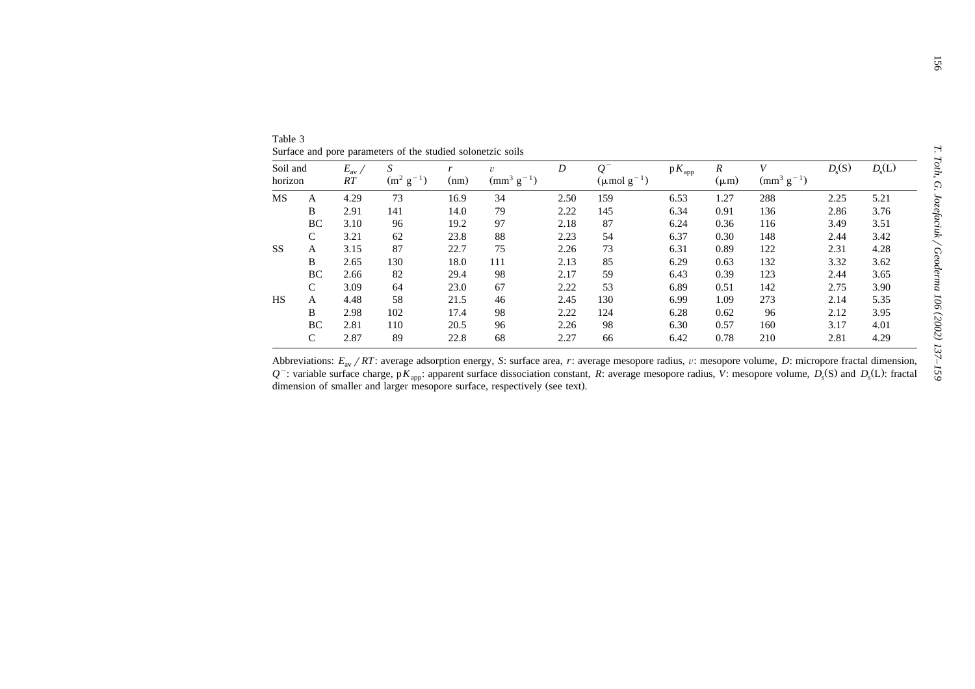| Table 3             |              |                             |                                                             |              |                                              |              |                                    |                                |                |                                     |                |                    |
|---------------------|--------------|-----------------------------|-------------------------------------------------------------|--------------|----------------------------------------------|--------------|------------------------------------|--------------------------------|----------------|-------------------------------------|----------------|--------------------|
|                     |              |                             | Surface and pore parameters of the studied solonetzic soils |              |                                              |              |                                    |                                |                |                                     |                |                    |
| Soil and<br>horizon |              | $E_{\rm av}$ /<br>$\cal RT$ | S<br>$(m^2 g^{-1})$                                         | r<br>(nm)    | $\upsilon$<br>$\text{(mm}^3 \text{ g}^{-1})$ | D            | $Q^-$<br>$(\mu \text{mol g}^{-1})$ | $\mathrm{p}\,K_{\mathrm{app}}$ | R<br>$(\mu m)$ | V<br>$\text{(mm}^3 \text{ g}^{-1})$ | $D_{\rm s}(S)$ | $D_{\rm s}(\rm L)$ |
| MS                  |              |                             |                                                             |              |                                              |              |                                    |                                |                |                                     |                |                    |
|                     | A<br>B       | 4.29<br>2.91                | 73<br>141                                                   | 16.9<br>14.0 | 34<br>79                                     | 2.50<br>2.22 | 159<br>145                         | 6.53<br>6.34                   | 1.27<br>0.91   | 288<br>136                          | 2.25<br>2.86   | 5.21<br>3.76       |
|                     | BC           | 3.10                        | 96                                                          | 19.2         | 97                                           | 2.18         | 87                                 | 6.24                           | 0.36           | 116                                 | 3.49           | 3.51               |
|                     | $\mathsf{C}$ | 3.21                        | 62                                                          | 23.8         | 88                                           | 2.23         | 54                                 | 6.37                           | 0.30           | 148                                 | 2.44           | 3.42               |
| <b>SS</b>           | A            | 3.15                        | 87                                                          | 22.7         | 75                                           | 2.26         | 73                                 | 6.31                           | 0.89           | 122                                 | 2.31           | 4.28               |
|                     | B            | 2.65                        | 130                                                         | 18.0         | 111                                          | 2.13         | 85                                 | 6.29                           | 0.63           | 132                                 | 3.32           | 3.62               |
|                     | BC           | 2.66                        | 82                                                          | 29.4         | 98                                           | 2.17         | 59                                 | 6.43                           | 0.39           | 123                                 | 2.44           | 3.65               |
|                     | $\mathsf{C}$ | 3.09                        | 64                                                          | 23.0         | 67                                           | 2.22         | 53                                 | 6.89                           | 0.51           | 142                                 | 2.75           | 3.90               |
| HS                  | A            | 4.48                        | 58                                                          | 21.5         | 46                                           | 2.45         | 130                                | 6.99                           | 1.09           | 273                                 | 2.14           | 5.35               |
|                     | B            | 2.98                        | 102                                                         | 17.4         | 98                                           | 2.22         | 124                                | 6.28                           | 0.62           | 96                                  | 2.12           | 3.95               |
|                     | BC           | 2.81                        | 110                                                         | 20.5         | 96                                           | 2.26         | 98                                 | 6.30                           | 0.57           | 160                                 | 3.17           | 4.01               |
|                     | $\mathsf{C}$ | 2.87                        | 89                                                          | 22.8         | 68                                           | 2.27         | 66                                 | 6.42                           | 0.78           | 210                                 | 2.81           | 4.29               |

dimension of smaller and larger mesopore surface, respectively (see text).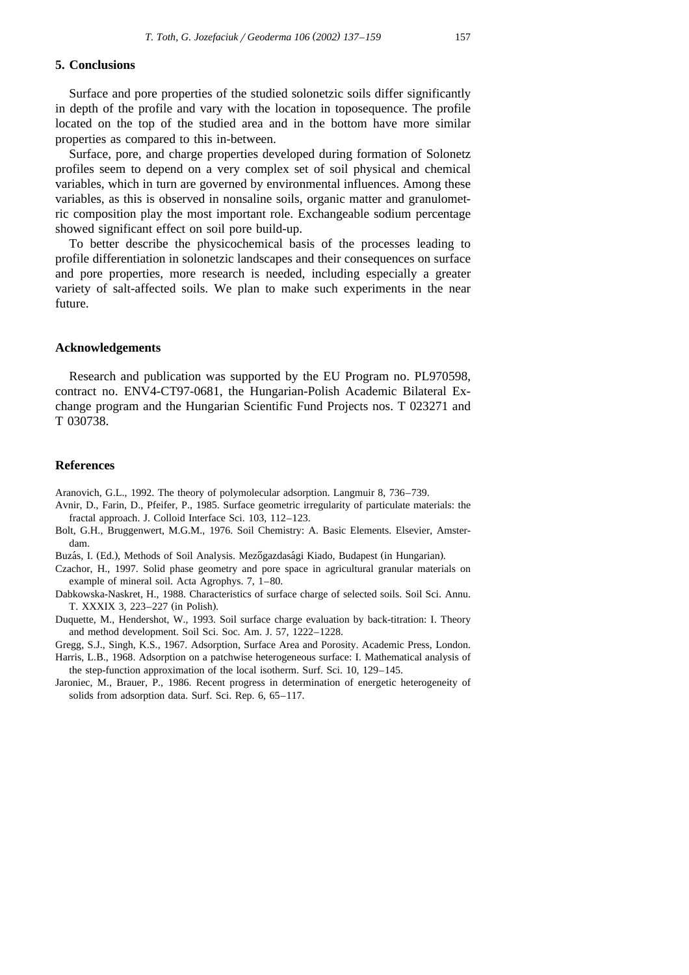## **5. Conclusions**

Surface and pore properties of the studied solonetzic soils differ significantly in depth of the profile and vary with the location in toposequence. The profile located on the top of the studied area and in the bottom have more similar properties as compared to this in-between.

Surface, pore, and charge properties developed during formation of Solonetz profiles seem to depend on a very complex set of soil physical and chemical variables, which in turn are governed by environmental influences. Among these variables, as this is observed in nonsaline soils, organic matter and granulometric composition play the most important role. Exchangeable sodium percentage showed significant effect on soil pore build-up.

To better describe the physicochemical basis of the processes leading to profile differentiation in solonetzic landscapes and their consequences on surface and pore properties, more research is needed, including especially a greater variety of salt-affected soils. We plan to make such experiments in the near future.

#### **Acknowledgements**

Research and publication was supported by the EU Program no. PL970598, contract no. ENV4-CT97-0681, the Hungarian-Polish Academic Bilateral Exchange program and the Hungarian Scientific Fund Projects nos. T 023271 and T 030738.

# **References**

- Aranovich, G.L., 1992. The theory of polymolecular adsorption. Langmuir 8, 736–739.
- Avnir, D., Farin, D., Pfeifer, P., 1985. Surface geometric irregularity of particulate materials: the fractal approach. J. Colloid Interface Sci. 103, 112–123.
- Bolt, G.H., Bruggenwert, M.G.M., 1976. Soil Chemistry: A. Basic Elements. Elsevier, Amsterdam.
- Buzás, I. (Ed.), Methods of Soil Analysis. Mezőgazdasági Kiado, Budapest (in Hungarian).
- Czachor, H., 1997. Solid phase geometry and pore space in agricultural granular materials on example of mineral soil. Acta Agrophys. 7, 1–80.
- Dabkowska-Naskret, H., 1988. Characteristics of surface charge of selected soils. Soil Sci. Annu. T. XXXIX 3, 223–227 (in Polish).
- Duquette, M., Hendershot, W., 1993. Soil surface charge evaluation by back-titration: I. Theory and method development. Soil Sci. Soc. Am. J. 57, 1222–1228.

Gregg, S.J., Singh, K.S., 1967. Adsorption, Surface Area and Porosity. Academic Press, London.

- Harris, L.B., 1968. Adsorption on a patchwise heterogeneous surface: I. Mathematical analysis of the step-function approximation of the local isotherm. Surf. Sci. 10, 129–145.
- Jaroniec, M., Brauer, P., 1986. Recent progress in determination of energetic heterogeneity of solids from adsorption data. Surf. Sci. Rep. 6, 65–117.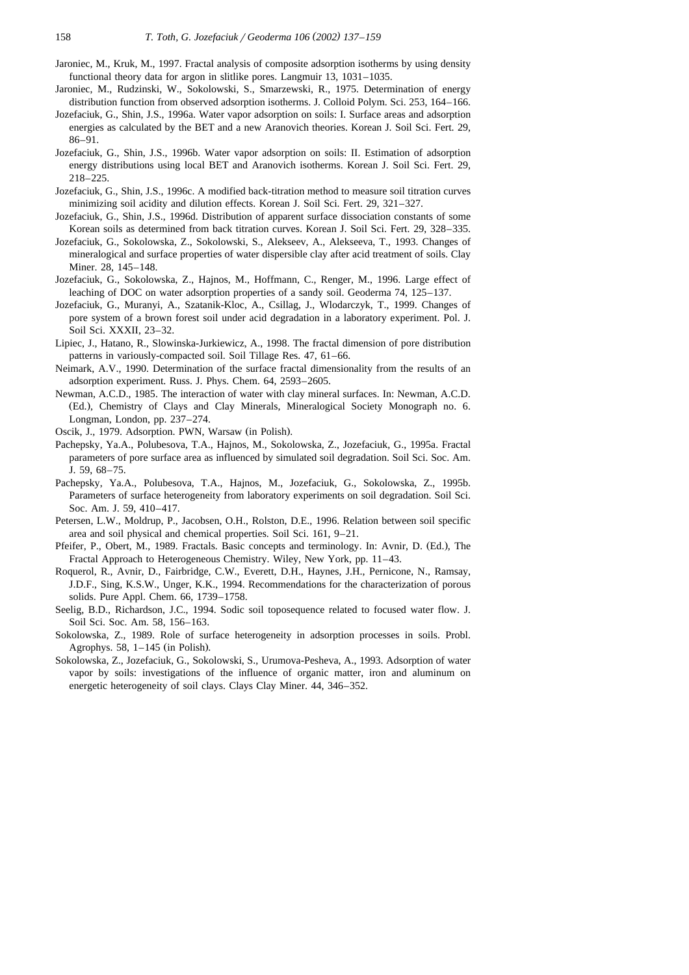- Jaroniec, M., Kruk, M., 1997. Fractal analysis of composite adsorption isotherms by using density functional theory data for argon in slitlike pores. Langmuir 13, 1031–1035.
- Jaroniec, M., Rudzinski, W., Sokolowski, S., Smarzewski, R., 1975. Determination of energy distribution function from observed adsorption isotherms. J. Colloid Polym. Sci. 253, 164–166.
- Jozefaciuk, G., Shin, J.S., 1996a. Water vapor adsorption on soils: I. Surface areas and adsorption energies as calculated by the BET and a new Aranovich theories. Korean J. Soil Sci. Fert. 29, 86–91.
- Jozefaciuk, G., Shin, J.S., 1996b. Water vapor adsorption on soils: II. Estimation of adsorption energy distributions using local BET and Aranovich isotherms. Korean J. Soil Sci. Fert. 29, 218–225.
- Jozefaciuk, G., Shin, J.S., 1996c. A modified back-titration method to measure soil titration curves minimizing soil acidity and dilution effects. Korean J. Soil Sci. Fert. 29, 321–327.
- Jozefaciuk, G., Shin, J.S., 1996d. Distribution of apparent surface dissociation constants of some Korean soils as determined from back titration curves. Korean J. Soil Sci. Fert. 29, 328–335.
- Jozefaciuk, G., Sokolowska, Z., Sokolowski, S., Alekseev, A., Alekseeva, T., 1993. Changes of mineralogical and surface properties of water dispersible clay after acid treatment of soils. Clay Miner. 28, 145–148.
- Jozefaciuk, G., Sokolowska, Z., Hajnos, M., Hoffmann, C., Renger, M., 1996. Large effect of leaching of DOC on water adsorption properties of a sandy soil. Geoderma 74, 125–137.
- Jozefaciuk, G., Muranyi, A., Szatanik-Kloc, A., Csillag, J., Wlodarczyk, T., 1999. Changes of pore system of a brown forest soil under acid degradation in a laboratory experiment. Pol. J. Soil Sci. XXXII, 23–32.
- Lipiec, J., Hatano, R., Slowinska-Jurkiewicz, A., 1998. The fractal dimension of pore distribution patterns in variously-compacted soil. Soil Tillage Res. 47, 61–66.
- Neimark, A.V., 1990. Determination of the surface fractal dimensionality from the results of an adsorption experiment. Russ. J. Phys. Chem. 64, 2593–2605.
- Newman, A.C.D., 1985. The interaction of water with clay mineral surfaces. In: Newman, A.C.D. Ž . Ed. , Chemistry of Clays and Clay Minerals, Mineralogical Society Monograph no. 6. Longman, London, pp. 237–274.
- Oscik, J., 1979. Adsorption. PWN, Warsaw (in Polish).
- Pachepsky, Ya.A., Polubesova, T.A., Hajnos, M., Sokolowska, Z., Jozefaciuk, G., 1995a. Fractal parameters of pore surface area as influenced by simulated soil degradation. Soil Sci. Soc. Am. J. 59, 68–75.
- Pachepsky, Ya.A., Polubesova, T.A., Hajnos, M., Jozefaciuk, G., Sokolowska, Z., 1995b. Parameters of surface heterogeneity from laboratory experiments on soil degradation. Soil Sci. Soc. Am. J. 59, 410–417.
- Petersen, L.W., Moldrup, P., Jacobsen, O.H., Rolston, D.E., 1996. Relation between soil specific area and soil physical and chemical properties. Soil Sci. 161, 9–21.
- Pfeifer, P., Obert, M., 1989. Fractals. Basic concepts and terminology. In: Avnir, D. (Ed.), The Fractal Approach to Heterogeneous Chemistry. Wiley, New York, pp. 11–43.
- Roquerol, R., Avnir, D., Fairbridge, C.W., Everett, D.H., Haynes, J.H., Pernicone, N., Ramsay, J.D.F., Sing, K.S.W., Unger, K.K., 1994. Recommendations for the characterization of porous solids. Pure Appl. Chem. 66, 1739–1758.
- Seelig, B.D., Richardson, J.C., 1994. Sodic soil toposequence related to focused water flow. J. Soil Sci. Soc. Am. 58, 156–163.
- Sokolowska, Z., 1989. Role of surface heterogeneity in adsorption processes in soils. Probl. Agrophys. 58,  $1-145$  (in Polish).
- Sokolowska, Z., Jozefaciuk, G., Sokolowski, S., Urumova-Pesheva, A., 1993. Adsorption of water vapor by soils: investigations of the influence of organic matter, iron and aluminum on energetic heterogeneity of soil clays. Clays Clay Miner. 44, 346–352.